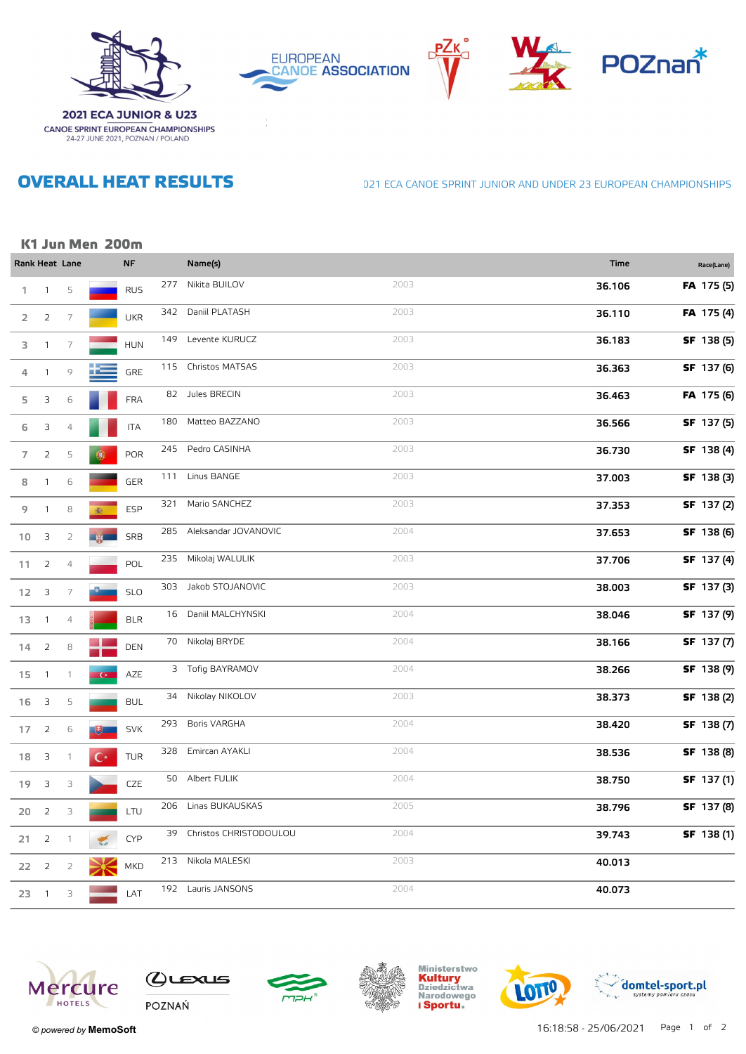

**2021 ECA JUNIOR & U23 CANOE SPRINT EUROPEAN CHAMPIONSHIPS**<br>24-27 JUNE 2021, POZNAN / POLAND









## **OVERALL HEAT RESULTS**

021 ECA CANOE SPRINT JUNIOR AND UNDER 23 EUROPEAN CHAMPIONSHIPS

### K1 Jun Men 200m

|                |                         | Rank Heat Lane |    | <b>NF</b>  |     | Name(s)                   |      | <b>Time</b> | Race(Lane) |
|----------------|-------------------------|----------------|----|------------|-----|---------------------------|------|-------------|------------|
| $\mathbf{1}$   | $\mathbf{1}$            | 5              |    | <b>RUS</b> | 277 | Nikita BUILOV             | 2003 | 36.106      | FA 175 (5) |
| 2              | $\overline{2}$          | $\overline{7}$ |    | <b>UKR</b> | 342 | Daniil PLATASH            | 2003 | 36.110      | FA 175 (4) |
| 3              | $\mathbf{1}$            | 7              |    | <b>HUN</b> | 149 | Levente KURUCZ            | 2003 | 36.183      | SF 138 (5) |
| 4              | $\mathbf{1}$            | $\circ$        |    | GRE        |     | 115 Christos MATSAS       | 2003 | 36.363      | SF 137 (6) |
| 5              | 3                       | 6              |    | <b>FRA</b> |     | 82 Jules BRECIN           | 2003 | 36.463      | FA 175 (6) |
| 6              | $\mathsf 3$             | $\sqrt{4}$     |    | <b>ITA</b> | 180 | Matteo BAZZANO            | 2003 | 36.566      | SF 137(5)  |
| $\overline{7}$ | $\overline{2}$          | 5              |    | <b>POR</b> | 245 | Pedro CASINHA             | 2003 | 36.730      | SF 138 (4) |
| 8              | $\mathbf{1}$            | $\mathsf{6}$   |    | <b>GER</b> | 111 | Linus BANGE               | 2003 | 37.003      | SF 138 (3) |
| 9              | $\mathbf{1}$            | 8              | 痛。 | <b>ESP</b> | 321 | Mario SANCHEZ             | 2003 | 37.353      | SF 137(2)  |
| 10             | $\exists$               | $\sqrt{2}$     |    | SRB        | 285 | Aleksandar JOVANOVIC      | 2004 | 37.653      | SF 138 (6) |
| 11             | $\overline{2}$          | $\sqrt{4}$     |    | POL        | 235 | Mikolaj WALULIK           | 2003 | 37.706      | SF 137 (4) |
| $12 \quad 3$   |                         | 7              |    | <b>SLO</b> | 303 | Jakob STOJANOVIC          | 2003 | 38.003      | SF 137(3)  |
| 13             | $\overline{1}$          | $\overline{4}$ |    | <b>BLR</b> |     | 16 Daniil MALCHYNSKI      | 2004 | 38.046      | SF 137 (9) |
| 14             | $\overline{2}$          | 8              |    | <b>DEN</b> |     | 70 Nikolaj BRYDE          | 2004 | 38.166      | SF 137 (7) |
| 15             | $\overline{1}$          | $\mathbf{1}$   |    | AZE        |     | 3 Tofig BAYRAMOV          | 2004 | 38.266      | SF 138 (9) |
| 16             | $\overline{\mathbf{3}}$ | 5              |    | <b>BUL</b> |     | 34 Nikolay NIKOLOV        | 2003 | 38.373      | SF 138 (2) |
| 17             | $\overline{2}$          | 6              |    | <b>SVK</b> | 293 | <b>Boris VARGHA</b>       | 2004 | 38.420      | SF 138 (7) |
| 18             | $\overline{\mathbf{3}}$ | $\mathbf{1}$   |    | TUR        | 328 | Emircan AYAKLI            | 2004 | 38.536      | SF 138 (8) |
| 19             | $\overline{\mathbf{3}}$ | 3              |    | CZE        |     | 50 Albert FULIK           | 2004 | 38.750      | SF 137(1)  |
| 20             | $\overline{2}$          | 3              |    | LTU        | 206 | Linas BUKAUSKAS           | 2005 | 38.796      | SF 137 (8) |
| 21             | $\overline{2}$          | $\overline{1}$ | 糖  | <b>CYP</b> |     | 39 Christos CHRISTODOULOU | 2004 | 39.743      | SF 138 (1) |
| 22             | $\overline{2}$          | $\overline{2}$ |    | MKD        |     | 213 Nikola MALESKI        | 2003 | 40.013      |            |
| 23             | $\overline{1}$          | 3              |    | LAT        |     | 192 Lauris JANSONS        | 2004 | 40.073      |            |